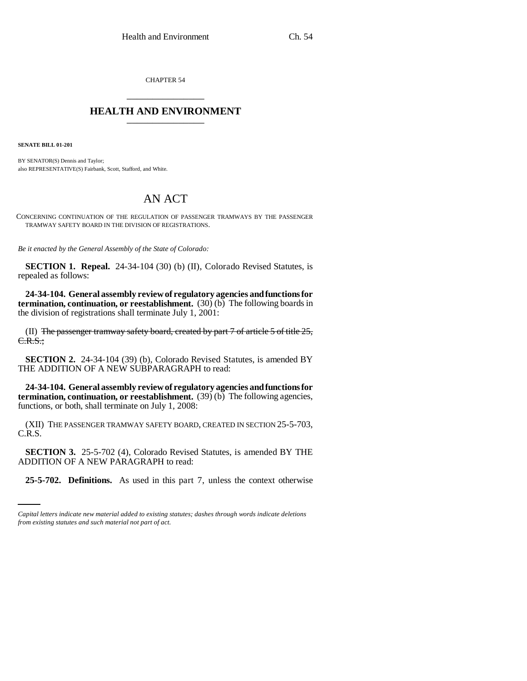CHAPTER 54 \_\_\_\_\_\_\_\_\_\_\_\_\_\_\_

## **HEALTH AND ENVIRONMENT** \_\_\_\_\_\_\_\_\_\_\_\_\_\_\_

**SENATE BILL 01-201**

BY SENATOR(S) Dennis and Taylor; also REPRESENTATIVE(S) Fairbank, Scott, Stafford, and White.

## AN ACT

CONCERNING CONTINUATION OF THE REGULATION OF PASSENGER TRAMWAYS BY THE PASSENGER TRAMWAY SAFETY BOARD IN THE DIVISION OF REGISTRATIONS.

*Be it enacted by the General Assembly of the State of Colorado:*

**SECTION 1. Repeal.** 24-34-104 (30) (b) (II), Colorado Revised Statutes, is repealed as follows:

**24-34-104. General assembly review of regulatory agencies and functions for termination, continuation, or reestablishment.** (30) (b) The following boards in the division of registrations shall terminate July 1, 2001:

(II) The passenger tramway safety board, created by part  $7$  of article  $5$  of title  $25$ , C.R.S.;

**SECTION 2.** 24-34-104 (39) (b), Colorado Revised Statutes, is amended BY THE ADDITION OF A NEW SUBPARAGRAPH to read:

**24-34-104. General assembly review of regulatory agencies and functions for termination, continuation, or reestablishment.** (39) (b) The following agencies, functions, or both, shall terminate on July 1, 2008:

(XII) THE PASSENGER TRAMWAY SAFETY BOARD, CREATED IN SECTION 25-5-703, C.R.S.

ADDITION OF A NEW PARAGRAPH to read: **SECTION 3.** 25-5-702 (4), Colorado Revised Statutes, is amended BY THE

**25-5-702. Definitions.** As used in this part 7, unless the context otherwise

*Capital letters indicate new material added to existing statutes; dashes through words indicate deletions from existing statutes and such material not part of act.*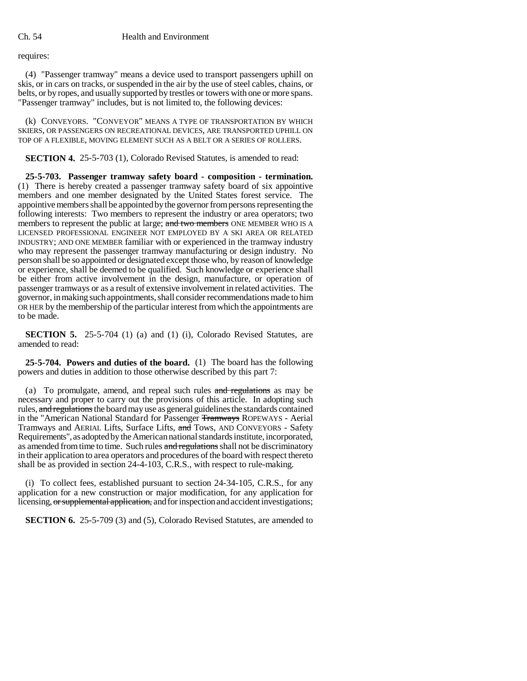requires:

(4) "Passenger tramway" means a device used to transport passengers uphill on skis, or in cars on tracks, or suspended in the air by the use of steel cables, chains, or belts, or by ropes, and usually supported by trestles or towers with one or more spans. "Passenger tramway" includes, but is not limited to, the following devices:

(k) CONVEYORS. "CONVEYOR" MEANS A TYPE OF TRANSPORTATION BY WHICH SKIERS, OR PASSENGERS ON RECREATIONAL DEVICES, ARE TRANSPORTED UPHILL ON TOP OF A FLEXIBLE, MOVING ELEMENT SUCH AS A BELT OR A SERIES OF ROLLERS.

**SECTION 4.** 25-5-703 (1), Colorado Revised Statutes, is amended to read:

**25-5-703. Passenger tramway safety board - composition - termination.** (1) There is hereby created a passenger tramway safety board of six appointive members and one member designated by the United States forest service. The appointive members shall be appointed by the governor from persons representing the following interests: Two members to represent the industry or area operators; two members to represent the public at large; and two members ONE MEMBER WHO IS A LICENSED PROFESSIONAL ENGINEER NOT EMPLOYED BY A SKI AREA OR RELATED INDUSTRY; AND ONE MEMBER familiar with or experienced in the tramway industry who may represent the passenger tramway manufacturing or design industry. No person shall be so appointed or designated except those who, by reason of knowledge or experience, shall be deemed to be qualified. Such knowledge or experience shall be either from active involvement in the design, manufacture, or operation of passenger tramways or as a result of extensive involvement in related activities. The governor, in making such appointments, shall consider recommendations made to him OR HER by the membership of the particular interest from which the appointments are to be made.

**SECTION 5.** 25-5-704 (1) (a) and (1) (i), Colorado Revised Statutes, are amended to read:

**25-5-704. Powers and duties of the board.** (1) The board has the following powers and duties in addition to those otherwise described by this part 7:

(a) To promulgate, amend, and repeal such rules and regulations as may be necessary and proper to carry out the provisions of this article. In adopting such rules, and regulations the board may use as general guidelines the standards contained in the "American National Standard for Passenger Tramways ROPEWAYS - Aerial Tramways and AERIAL Lifts, Surface Lifts, and Tows, AND CONVEYORS - Safety Requirements", as adopted by the American national standards institute, incorporated, as amended from time to time. Such rules and regulations shall not be discriminatory in their application to area operators and procedures of the board with respect thereto shall be as provided in section 24-4-103, C.R.S., with respect to rule-making.

(i) To collect fees, established pursuant to section 24-34-105, C.R.S., for any application for a new construction or major modification, for any application for licensing, or supplemental application, and for inspection and accident investigations;

**SECTION 6.** 25-5-709 (3) and (5), Colorado Revised Statutes, are amended to